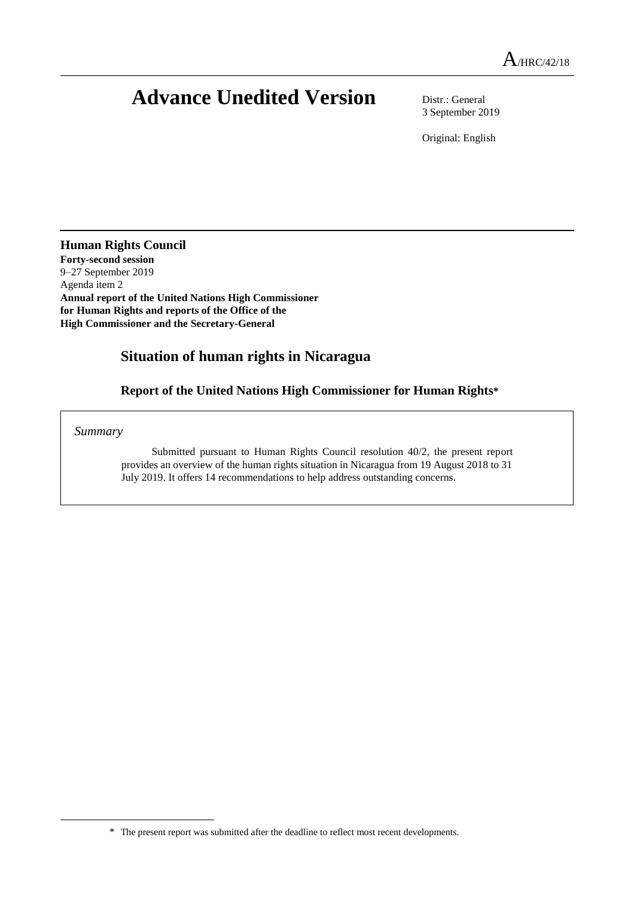# **Advance Unedited Version** Distr.: General

3 September 2019

Original: English

**Human Rights Council**

**Forty-second session** 9–27 September 2019 Agenda item 2 **Annual report of the United Nations High Commissioner for Human Rights and reports of the Office of the High Commissioner and the Secretary-General**

# **Situation of human rights in Nicaragua**

**Report of the United Nations High Commissioner for Human Rights\***

*Summary*

 $\overline{a}$ 

Submitted pursuant to Human Rights Council resolution 40/2, the present report provides an overview of the human rights situation in Nicaragua from 19 August 2018 to 31 July 2019. It offers 14 recommendations to help address outstanding concerns.

<sup>\*</sup> The present report was submitted after the deadline to reflect most recent developments.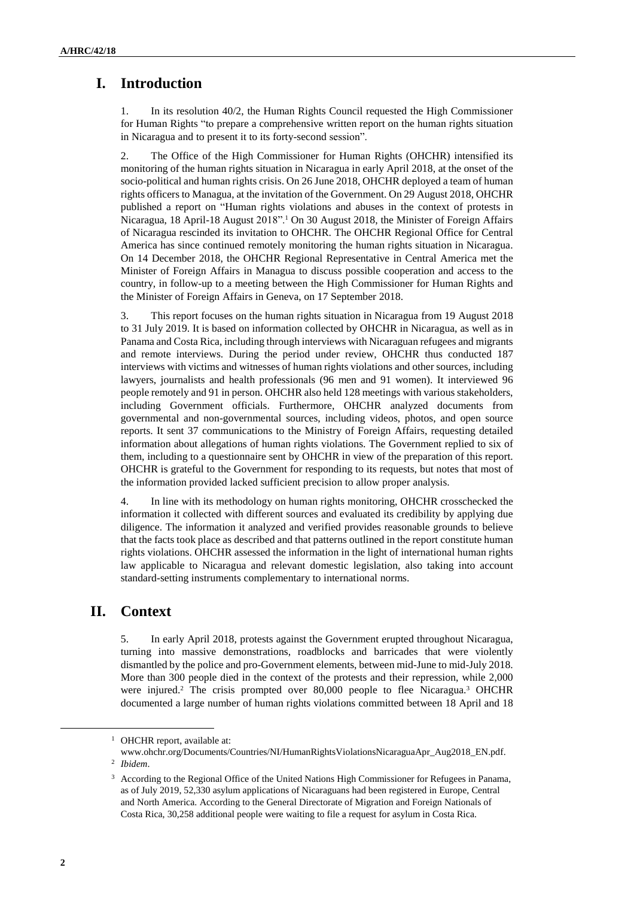# **I. Introduction**

1. In its resolution 40/2, the Human Rights Council requested the High Commissioner for Human Rights "to prepare a comprehensive written report on the human rights situation in Nicaragua and to present it to its forty-second session".

2. The Office of the High Commissioner for Human Rights (OHCHR) intensified its monitoring of the human rights situation in Nicaragua in early April 2018, at the onset of the socio-political and human rights crisis. On 26 June 2018, OHCHR deployed a team of human rights officers to Managua, at the invitation of the Government. On 29 August 2018, OHCHR published a report on "Human rights violations and abuses in the context of protests in Nicaragua, 18 April-18 August 2018".<sup>1</sup> On 30 August 2018, the Minister of Foreign Affairs of Nicaragua rescinded its invitation to OHCHR. The OHCHR Regional Office for Central America has since continued remotely monitoring the human rights situation in Nicaragua. On 14 December 2018, the OHCHR Regional Representative in Central America met the Minister of Foreign Affairs in Managua to discuss possible cooperation and access to the country, in follow-up to a meeting between the High Commissioner for Human Rights and the Minister of Foreign Affairs in Geneva, on 17 September 2018.

3. This report focuses on the human rights situation in Nicaragua from 19 August 2018 to 31 July 2019. It is based on information collected by OHCHR in Nicaragua, as well as in Panama and Costa Rica, including through interviews with Nicaraguan refugees and migrants and remote interviews. During the period under review, OHCHR thus conducted 187 interviews with victims and witnesses of human rights violations and other sources, including lawyers, journalists and health professionals (96 men and 91 women). It interviewed 96 people remotely and 91 in person. OHCHR also held 128 meetings with various stakeholders, including Government officials. Furthermore, OHCHR analyzed documents from governmental and non-governmental sources, including videos, photos, and open source reports. It sent 37 communications to the Ministry of Foreign Affairs, requesting detailed information about allegations of human rights violations. The Government replied to six of them, including to a questionnaire sent by OHCHR in view of the preparation of this report. OHCHR is grateful to the Government for responding to its requests, but notes that most of the information provided lacked sufficient precision to allow proper analysis.

4. In line with its methodology on human rights monitoring, OHCHR crosschecked the information it collected with different sources and evaluated its credibility by applying due diligence. The information it analyzed and verified provides reasonable grounds to believe that the facts took place as described and that patterns outlined in the report constitute human rights violations. OHCHR assessed the information in the light of international human rights law applicable to Nicaragua and relevant domestic legislation, also taking into account standard-setting instruments complementary to international norms.

# **II. Context**

5. In early April 2018, protests against the Government erupted throughout Nicaragua, turning into massive demonstrations, roadblocks and barricades that were violently dismantled by the police and pro-Government elements, between mid-June to mid-July 2018. More than 300 people died in the context of the protests and their repression, while 2,000 were injured.<sup>2</sup> The crisis prompted over 80,000 people to flee Nicaragua.<sup>3</sup> OHCHR documented a large number of human rights violations committed between 18 April and 18

<sup>&</sup>lt;sup>1</sup> OHCHR report, available at:

www.ohchr.org/Documents/Countries/NI/HumanRightsViolationsNicaraguaApr\_Aug2018\_EN.pdf. 2 *Ibidem*.

<sup>3</sup> According to the Regional Office of the United Nations High Commissioner for Refugees in Panama, as of July 2019, 52,330 asylum applications of Nicaraguans had been registered in Europe, Central and North America. According to the General Directorate of Migration and Foreign Nationals of Costa Rica, 30,258 additional people were waiting to file a request for asylum in Costa Rica.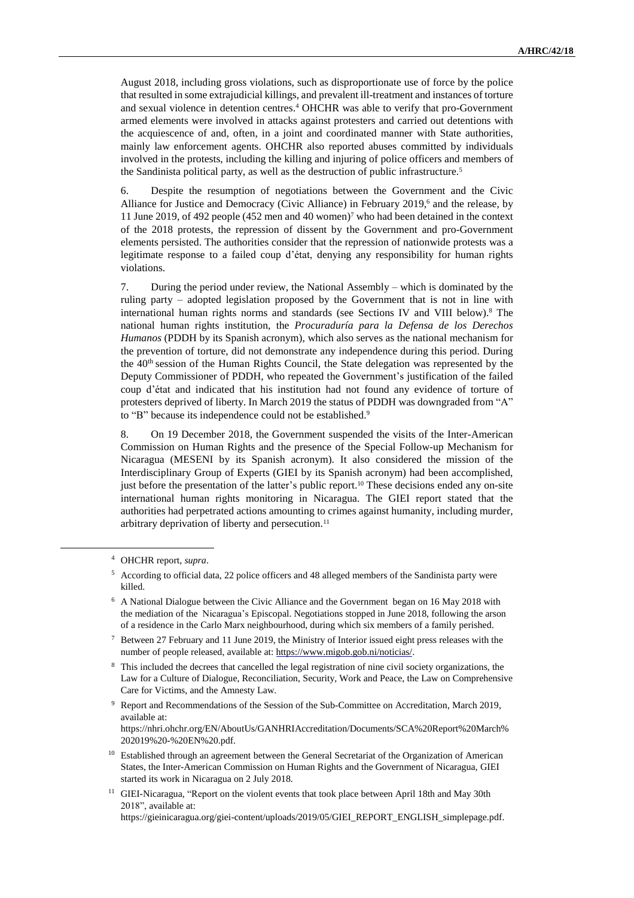August 2018, including gross violations, such as disproportionate use of force by the police that resulted in some extrajudicial killings, and prevalent ill-treatment and instances of torture and sexual violence in detention centres.<sup>4</sup> OHCHR was able to verify that pro-Government armed elements were involved in attacks against protesters and carried out detentions with the acquiescence of and, often, in a joint and coordinated manner with State authorities, mainly law enforcement agents. OHCHR also reported abuses committed by individuals involved in the protests, including the killing and injuring of police officers and members of the Sandinista political party, as well as the destruction of public infrastructure.<sup>5</sup>

6. Despite the resumption of negotiations between the Government and the Civic Alliance for Justice and Democracy (Civic Alliance) in February 2019,<sup>6</sup> and the release, by 11 June 2019, of 492 people (452 men and 40 women)<sup>7</sup> who had been detained in the context of the 2018 protests, the repression of dissent by the Government and pro-Government elements persisted. The authorities consider that the repression of nationwide protests was a legitimate response to a failed coup d'état, denying any responsibility for human rights violations.

7. During the period under review, the National Assembly – which is dominated by the ruling party – adopted legislation proposed by the Government that is not in line with international human rights norms and standards (see Sections IV and VIII below).<sup>8</sup> The national human rights institution, the *Procuraduría para la Defensa de los Derechos Humanos* (PDDH by its Spanish acronym), which also serves as the national mechanism for the prevention of torture, did not demonstrate any independence during this period. During the  $40<sup>th</sup>$  session of the Human Rights Council, the State delegation was represented by the Deputy Commissioner of PDDH, who repeated the Government's justification of the failed coup d'état and indicated that his institution had not found any evidence of torture of protesters deprived of liberty. In March 2019 the status of PDDH was downgraded from "A" to "B" because its independence could not be established.<sup>9</sup>

8. On 19 December 2018, the Government suspended the visits of the Inter-American Commission on Human Rights and the presence of the Special Follow-up Mechanism for Nicaragua (MESENI by its Spanish acronym). It also considered the mission of the Interdisciplinary Group of Experts (GIEI by its Spanish acronym) had been accomplished, just before the presentation of the latter's public report.<sup>10</sup> These decisions ended any on-site international human rights monitoring in Nicaragua. The GIEI report stated that the authorities had perpetrated actions amounting to crimes against humanity, including murder, arbitrary deprivation of liberty and persecution.<sup>11</sup>

<sup>4</sup> OHCHR report, *supra*.

<sup>5</sup> According to official data, 22 police officers and 48 alleged members of the Sandinista party were killed.

<sup>6</sup> A National Dialogue between the Civic Alliance and the Government began on 16 May 2018 with the mediation of the Nicaragua's Episcopal. Negotiations stopped in June 2018, following the arson of a residence in the Carlo Marx neighbourhood, during which six members of a family perished.

<sup>7</sup> Between 27 February and 11 June 2019, the Ministry of Interior issued eight press releases with the number of people released, available at: https://www.migob.gob.ni/noticias/.

<sup>&</sup>lt;sup>8</sup> This included the decrees that cancelled the legal registration of nine civil society organizations, the Law for a Culture of Dialogue, Reconciliation, Security, Work and Peace, the Law on Comprehensive Care for Victims, and the Amnesty Law.

<sup>&</sup>lt;sup>9</sup> Report and Recommendations of the Session of the Sub-Committee on Accreditation, March 2019, available at:

[https://nhri.ohchr.org/EN/AboutUs/GANHRIAccreditation/Documents/SCA%20Report%20March%](https://nhri.ohchr.org/EN/AboutUs/GANHRIAccreditation/Documents/SCA%252525252520Report%252525252520March%2525252525202019%252525252520-%252525252520EN%252525252520.pdf) [202019%20-%20EN%20.pdf.](https://nhri.ohchr.org/EN/AboutUs/GANHRIAccreditation/Documents/SCA%252525252520Report%252525252520March%2525252525202019%252525252520-%252525252520EN%252525252520.pdf)

<sup>&</sup>lt;sup>10</sup> Established through an agreement between the General Secretariat of the Organization of American States, the Inter-American Commission on Human Rights and the Government of Nicaragua, GIEI started its work in Nicaragua on 2 July 2018.

<sup>&</sup>lt;sup>11</sup> GIEI-Nicaragua, "Report on the violent events that took place between April 18th and May 30th 2018", available at:

[https://gieinicaragua.org/giei-c](https://gieinicaragua.org/giei-)ontent/uploads/2019/05/GIEI\_REPORT\_ENGLISH\_simplepage.pdf.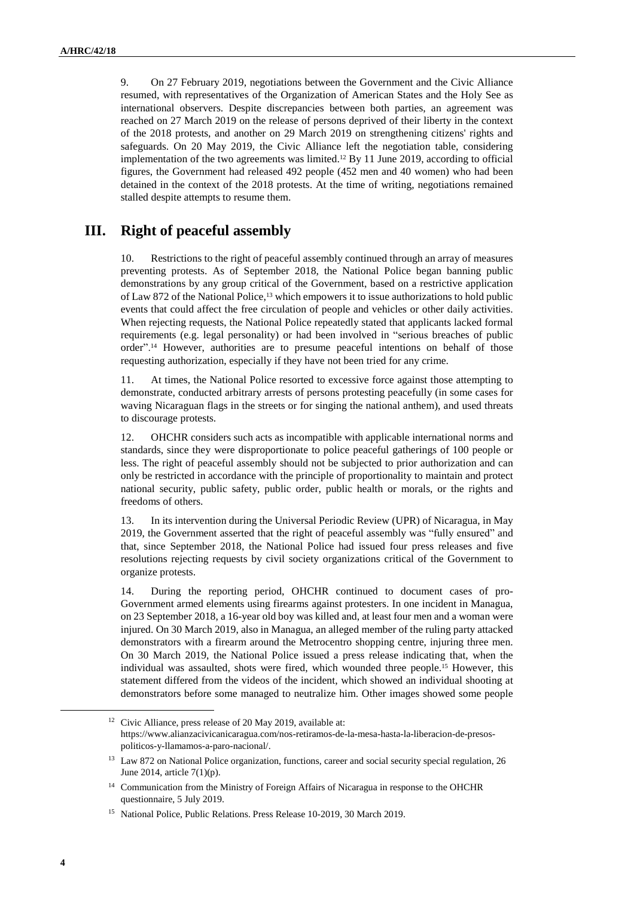9. On 27 February 2019, negotiations between the Government and the Civic Alliance resumed, with representatives of the Organization of American States and the Holy See as international observers. Despite discrepancies between both parties, an agreement was reached on 27 March 2019 on the release of persons deprived of their liberty in the context of the 2018 protests, and another on 29 March 2019 on strengthening citizens' rights and safeguards. On 20 May 2019, the Civic Alliance left the negotiation table, considering implementation of the two agreements was limited.<sup>12</sup> By 11 June 2019, according to official figures, the Government had released 492 people (452 men and 40 women) who had been detained in the context of the 2018 protests. At the time of writing, negotiations remained stalled despite attempts to resume them.

# **III. Right of peaceful assembly**

10. Restrictions to the right of peaceful assembly continued through an array of measures preventing protests. As of September 2018, the National Police began banning public demonstrations by any group critical of the Government, based on a restrictive application of Law 872 of the National Police,<sup>13</sup> which empowers it to issue authorizations to hold public events that could affect the free circulation of people and vehicles or other daily activities. When rejecting requests, the National Police repeatedly stated that applicants lacked formal requirements (e.g. legal personality) or had been involved in "serious breaches of public order".<sup>14</sup> However, authorities are to presume peaceful intentions on behalf of those requesting authorization, especially if they have not been tried for any crime.

11. At times, the National Police resorted to excessive force against those attempting to demonstrate, conducted arbitrary arrests of persons protesting peacefully (in some cases for waving Nicaraguan flags in the streets or for singing the national anthem), and used threats to discourage protests.

12. OHCHR considers such acts as incompatible with applicable international norms and standards, since they were disproportionate to police peaceful gatherings of 100 people or less. The right of peaceful assembly should not be subjected to prior authorization and can only be restricted in accordance with the principle of proportionality to maintain and protect national security, public safety, public order, public health or morals, or the rights and freedoms of others.

13. In its intervention during the Universal Periodic Review (UPR) of Nicaragua, in May 2019, the Government asserted that the right of peaceful assembly was "fully ensured" and that, since September 2018, the National Police had issued four press releases and five resolutions rejecting requests by civil society organizations critical of the Government to organize protests.

14. During the reporting period, OHCHR continued to document cases of pro-Government armed elements using firearms against protesters. In one incident in Managua, on 23 September 2018, a 16-year old boy was killed and, at least four men and a woman were injured. On 30 March 2019, also in Managua, an alleged member of the ruling party attacked demonstrators with a firearm around the Metrocentro shopping centre, injuring three men. On 30 March 2019, the National Police issued a press release indicating that, when the individual was assaulted, shots were fired, which wounded three people.<sup>15</sup> However, this statement differed from the videos of the incident, which showed an individual shooting at demonstrators before some managed to neutralize him. Other images showed some people

<sup>&</sup>lt;sup>12</sup> Civic Alliance, press release of 20 May 2019, available at: https://www.alianzacivicanicaragua.com/nos-retiramos-de-la-mesa-hasta-la-liberacion-de-presospoliticos-y-llamamos-a-paro-nacional/.

<sup>&</sup>lt;sup>13</sup> Law 872 on National Police organization, functions, career and social security special regulation, 26 June 2014, article 7(1)(p).

<sup>&</sup>lt;sup>14</sup> Communication from the Ministry of Foreign Affairs of Nicaragua in response to the OHCHR questionnaire, 5 July 2019.

<sup>15</sup> National Police, Public Relations. Press Release 10-2019, 30 March 2019.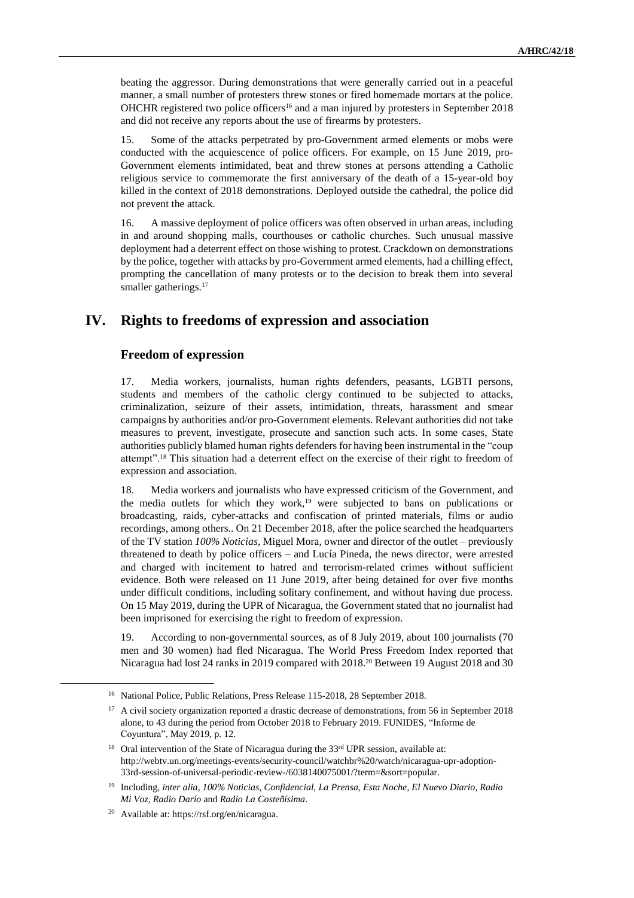beating the aggressor. During demonstrations that were generally carried out in a peaceful manner, a small number of protesters threw stones or fired homemade mortars at the police. OHCHR registered two police officers<sup>16</sup> and a man injured by protesters in September 2018 and did not receive any reports about the use of firearms by protesters.

15. Some of the attacks perpetrated by pro-Government armed elements or mobs were conducted with the acquiescence of police officers. For example, on 15 June 2019, pro-Government elements intimidated, beat and threw stones at persons attending a Catholic religious service to commemorate the first anniversary of the death of a 15-year-old boy killed in the context of 2018 demonstrations. Deployed outside the cathedral, the police did not prevent the attack.

16. A massive deployment of police officers was often observed in urban areas, including in and around shopping malls, courthouses or catholic churches. Such unusual massive deployment had a deterrent effect on those wishing to protest. Crackdown on demonstrations by the police, together with attacks by pro-Government armed elements, had a chilling effect, prompting the cancellation of many protests or to the decision to break them into several smaller gatherings.<sup>17</sup>

# **IV. Rights to freedoms of expression and association**

#### **Freedom of expression**

17. Media workers, journalists, human rights defenders, peasants, LGBTI persons, students and members of the catholic clergy continued to be subjected to attacks, criminalization, seizure of their assets, intimidation, threats, harassment and smear campaigns by authorities and/or pro-Government elements. Relevant authorities did not take measures to prevent, investigate, prosecute and sanction such acts. In some cases, State authorities publicly blamed human rights defenders for having been instrumental in the "coup attempt".<sup>18</sup> This situation had a deterrent effect on the exercise of their right to freedom of expression and association.

18. Media workers and journalists who have expressed criticism of the Government, and the media outlets for which they work,<sup>19</sup> were subjected to bans on publications or broadcasting, raids, cyber-attacks and confiscation of printed materials, films or audio recordings, among others.. On 21 December 2018, after the police searched the headquarters of the TV station *100% Noticias*, Miguel Mora, owner and director of the outlet – previously threatened to death by police officers – and Lucía Pineda, the news director, were arrested and charged with incitement to hatred and terrorism-related crimes without sufficient evidence. Both were released on 11 June 2019, after being detained for over five months under difficult conditions, including solitary confinement, and without having due process. On 15 May 2019, during the UPR of Nicaragua, the Government stated that no journalist had been imprisoned for exercising the right to freedom of expression.

19. According to non-governmental sources, as of 8 July 2019, about 100 journalists (70 men and 30 women) had fled Nicaragua. The World Press Freedom Index reported that Nicaragua had lost 24 ranks in 2019 compared with 2018.<sup>20</sup> Between 19 August 2018 and 30

<sup>&</sup>lt;sup>16</sup> National Police, Public Relations, Press Release 115-2018, 28 September 2018.

<sup>&</sup>lt;sup>17</sup> A civil society organization reported a drastic decrease of demonstrations, from 56 in September 2018 alone, to 43 during the period from October 2018 to February 2019. FUNIDES, "Informe de Coyuntura", May 2019, p. 12.

<sup>&</sup>lt;sup>18</sup> Oral intervention of the State of Nicaragua during the 33<sup>rd</sup> UPR session, available at: http://webtv.un.org/meetings-events/security-council/watchbr%20/watch/nicaragua-upr-adoption-33rd-session-of-universal-periodic-review-/6038140075001/?term=&sort=popular.

<sup>19</sup> Including, *inter alia*, *100% Noticias*, *Confidencial*, *La Prensa*, *Esta Noche*, *El Nuevo Diario*, *Radio Mi Voz*, *Radio Darío* and *Radio La Costeñísima*.

<sup>20</sup> Available at: https://rsf.org/en/nicaragua.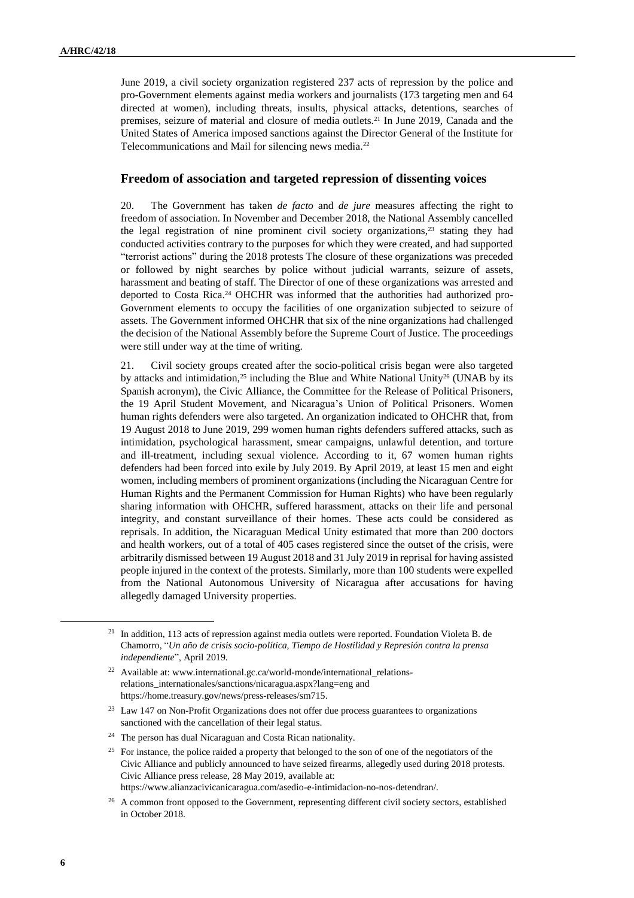June 2019, a civil society organization registered 237 acts of repression by the police and pro-Government elements against media workers and journalists (173 targeting men and 64 directed at women), including threats, insults, physical attacks, detentions, searches of premises, seizure of material and closure of media outlets.<sup>21</sup> In June 2019, Canada and the United States of America imposed sanctions against the Director General of the Institute for Telecommunications and Mail for silencing news media.<sup>22</sup>

#### **Freedom of association and targeted repression of dissenting voices**

20. The Government has taken *de facto* and *de jure* measures affecting the right to freedom of association. In November and December 2018, the National Assembly cancelled the legal registration of nine prominent civil society organizations, $23$  stating they had conducted activities contrary to the purposes for which they were created, and had supported "terrorist actions" during the 2018 protests The closure of these organizations was preceded or followed by night searches by police without judicial warrants, seizure of assets, harassment and beating of staff. The Director of one of these organizations was arrested and deported to Costa Rica.<sup>24</sup> OHCHR was informed that the authorities had authorized pro-Government elements to occupy the facilities of one organization subjected to seizure of assets. The Government informed OHCHR that six of the nine organizations had challenged the decision of the National Assembly before the Supreme Court of Justice. The proceedings were still under way at the time of writing.

21. Civil society groups created after the socio-political crisis began were also targeted by attacks and intimidation,<sup>25</sup> including the Blue and White National Unity<sup>26</sup> (UNAB by its Spanish acronym), the Civic Alliance, the Committee for the Release of Political Prisoners, the 19 April Student Movement, and Nicaragua's Union of Political Prisoners. Women human rights defenders were also targeted. An organization indicated to OHCHR that, from 19 August 2018 to June 2019, 299 women human rights defenders suffered attacks, such as intimidation, psychological harassment, smear campaigns, unlawful detention, and torture and ill-treatment, including sexual violence. According to it, 67 women human rights defenders had been forced into exile by July 2019. By April 2019, at least 15 men and eight women, including members of prominent organizations (including the Nicaraguan Centre for Human Rights and the Permanent Commission for Human Rights) who have been regularly sharing information with OHCHR, suffered harassment, attacks on their life and personal integrity, and constant surveillance of their homes. These acts could be considered as reprisals. In addition, the Nicaraguan Medical Unity estimated that more than 200 doctors and health workers, out of a total of 405 cases registered since the outset of the crisis, were arbitrarily dismissed between 19 August 2018 and 31 July 2019 in reprisal for having assisted people injured in the context of the protests. Similarly, more than 100 students were expelled from the National Autonomous University of Nicaragua after accusations for having allegedly damaged University properties.

<sup>&</sup>lt;sup>21</sup> In addition, 113 acts of repression against media outlets were reported. Foundation Violeta B. de Chamorro, "*Un año de crisis socio-política, Tiempo de Hostilidad y Represión contra la prensa independiente*", April 2019.

<sup>22</sup> Available at: www.international.gc.ca/world-monde/international\_relationsrelations\_internationales/sanctions/nicaragua.aspx?lang=eng and [https://home.treasury.gov/news/press-releases/sm715.](https://home.treasury.gov/news/press-releases/sm715)

<sup>&</sup>lt;sup>23</sup> Law 147 on Non-Profit Organizations does not offer due process guarantees to organizations sanctioned with the cancellation of their legal status.

<sup>&</sup>lt;sup>24</sup> The person has dual Nicaraguan and Costa Rican nationality.

<sup>&</sup>lt;sup>25</sup> For instance, the police raided a property that belonged to the son of one of the negotiators of the Civic Alliance and publicly announced to have seized firearms, allegedly used during 2018 protests. Civic Alliance press release, 28 May 2019, available at:

https://www.alianzacivicanicaragua.com/asedio-e-intimidacion-no-nos-detendran/.

<sup>&</sup>lt;sup>26</sup> A common front opposed to the Government, representing different civil society sectors, established in October 2018.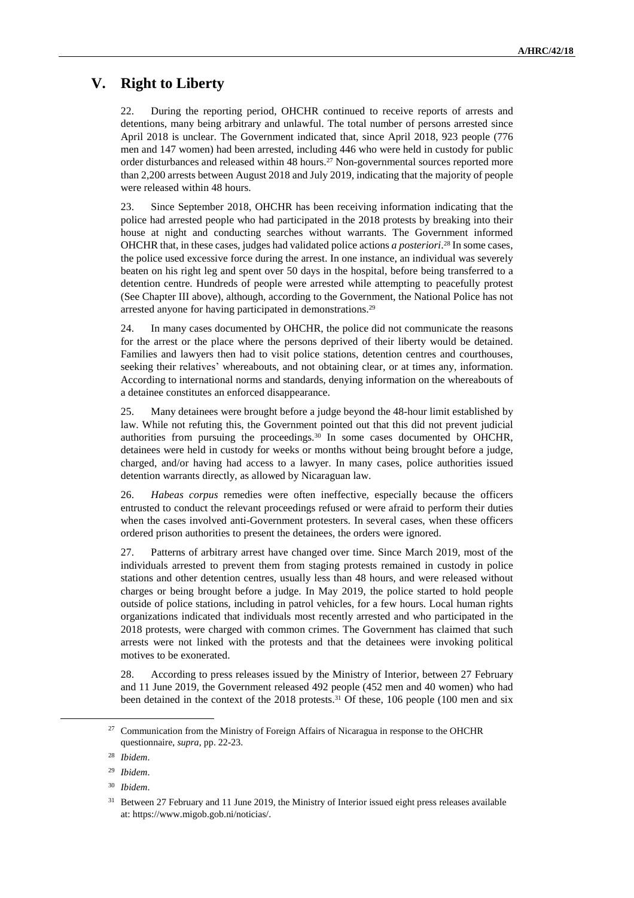# **V. Right to Liberty**

22. During the reporting period, OHCHR continued to receive reports of arrests and detentions, many being arbitrary and unlawful. The total number of persons arrested since April 2018 is unclear. The Government indicated that, since April 2018, 923 people (776 men and 147 women) had been arrested, including 446 who were held in custody for public order disturbances and released within 48 hours.<sup>27</sup> Non-governmental sources reported more than 2,200 arrests between August 2018 and July 2019, indicating that the majority of people were released within 48 hours.

23. Since September 2018, OHCHR has been receiving information indicating that the police had arrested people who had participated in the 2018 protests by breaking into their house at night and conducting searches without warrants. The Government informed OHCHR that, in these cases, judges had validated police actions *a posteriori*. <sup>28</sup> In some cases, the police used excessive force during the arrest. In one instance, an individual was severely beaten on his right leg and spent over 50 days in the hospital, before being transferred to a detention centre. Hundreds of people were arrested while attempting to peacefully protest (See Chapter III above), although, according to the Government, the National Police has not arrested anyone for having participated in demonstrations.<sup>29</sup>

24. In many cases documented by OHCHR, the police did not communicate the reasons for the arrest or the place where the persons deprived of their liberty would be detained. Families and lawyers then had to visit police stations, detention centres and courthouses, seeking their relatives' whereabouts, and not obtaining clear, or at times any, information. According to international norms and standards, denying information on the whereabouts of a detainee constitutes an enforced disappearance.

25. Many detainees were brought before a judge beyond the 48-hour limit established by law. While not refuting this, the Government pointed out that this did not prevent judicial authorities from pursuing the proceedings.<sup>30</sup> In some cases documented by OHCHR, detainees were held in custody for weeks or months without being brought before a judge, charged, and/or having had access to a lawyer. In many cases, police authorities issued detention warrants directly, as allowed by Nicaraguan law.

26. *Habeas corpus* remedies were often ineffective, especially because the officers entrusted to conduct the relevant proceedings refused or were afraid to perform their duties when the cases involved anti-Government protesters. In several cases, when these officers ordered prison authorities to present the detainees, the orders were ignored.

27. Patterns of arbitrary arrest have changed over time. Since March 2019, most of the individuals arrested to prevent them from staging protests remained in custody in police stations and other detention centres, usually less than 48 hours, and were released without charges or being brought before a judge. In May 2019, the police started to hold people outside of police stations, including in patrol vehicles, for a few hours. Local human rights organizations indicated that individuals most recently arrested and who participated in the 2018 protests, were charged with common crimes. The Government has claimed that such arrests were not linked with the protests and that the detainees were invoking political motives to be exonerated.

28. According to press releases issued by the Ministry of Interior, between 27 February and 11 June 2019, the Government released 492 people (452 men and 40 women) who had been detained in the context of the 2018 protests.<sup>31</sup> Of these, 106 people (100 men and six

<sup>&</sup>lt;sup>27</sup> Communication from the Ministry of Foreign Affairs of Nicaragua in response to the OHCHR questionnaire, *supra*, pp. 22-23.

<sup>28</sup> *Ibidem*.

<sup>29</sup> *Ibidem*.

<sup>30</sup> *Ibidem*.

<sup>&</sup>lt;sup>31</sup> Between 27 February and 11 June 2019, the Ministry of Interior issued eight press releases available at: https://www.migob.gob.ni/noticias/.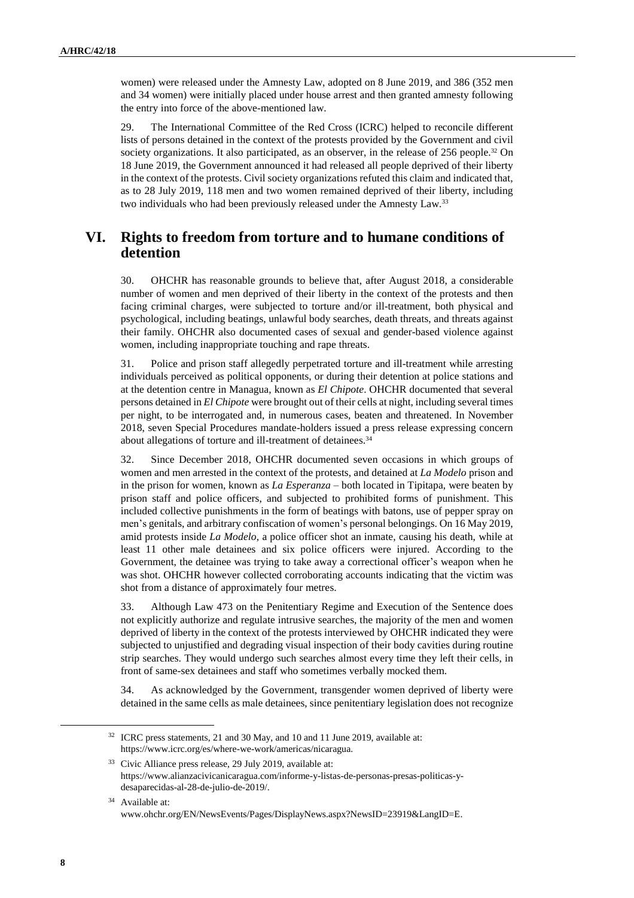women) were released under the Amnesty Law, adopted on 8 June 2019, and 386 (352 men and 34 women) were initially placed under house arrest and then granted amnesty following the entry into force of the above-mentioned law.

29. The International Committee of the Red Cross (ICRC) helped to reconcile different lists of persons detained in the context of the protests provided by the Government and civil society organizations. It also participated, as an observer, in the release of 256 people.<sup>32</sup> On 18 June 2019, the Government announced it had released all people deprived of their liberty in the context of the protests. Civil society organizations refuted this claim and indicated that, as to 28 July 2019, 118 men and two women remained deprived of their liberty, including two individuals who had been previously released under the Amnesty Law.<sup>33</sup>

# **VI. Rights to freedom from torture and to humane conditions of detention**

30. OHCHR has reasonable grounds to believe that, after August 2018, a considerable number of women and men deprived of their liberty in the context of the protests and then facing criminal charges, were subjected to torture and/or ill-treatment, both physical and psychological, including beatings, unlawful body searches, death threats, and threats against their family. OHCHR also documented cases of sexual and gender-based violence against women, including inappropriate touching and rape threats.

31. Police and prison staff allegedly perpetrated torture and ill-treatment while arresting individuals perceived as political opponents, or during their detention at police stations and at the detention centre in Managua, known as *El Chipote*. OHCHR documented that several persons detained in *El Chipote* were brought out of their cells at night, including several times per night, to be interrogated and, in numerous cases, beaten and threatened. In November 2018, seven Special Procedures mandate-holders issued a press release expressing concern about allegations of torture and ill-treatment of detainees.<sup>34</sup>

32. Since December 2018, OHCHR documented seven occasions in which groups of women and men arrested in the context of the protests, and detained at *La Modelo* prison and in the prison for women, known as *La Esperanza* – both located in Tipitapa, were beaten by prison staff and police officers, and subjected to prohibited forms of punishment. This included collective punishments in the form of beatings with batons, use of pepper spray on men's genitals, and arbitrary confiscation of women's personal belongings. On 16 May 2019, amid protests inside *La Modelo*, a police officer shot an inmate, causing his death, while at least 11 other male detainees and six police officers were injured. According to the Government, the detainee was trying to take away a correctional officer's weapon when he was shot. OHCHR however collected corroborating accounts indicating that the victim was shot from a distance of approximately four metres.

33. Although Law 473 on the Penitentiary Regime and Execution of the Sentence does not explicitly authorize and regulate intrusive searches, the majority of the men and women deprived of liberty in the context of the protests interviewed by OHCHR indicated they were subjected to unjustified and degrading visual inspection of their body cavities during routine strip searches. They would undergo such searches almost every time they left their cells, in front of same-sex detainees and staff who sometimes verbally mocked them.

34. As acknowledged by the Government, transgender women deprived of liberty were detained in the same cells as male detainees, since penitentiary legislation does not recognize

<sup>33</sup> Civic Alliance press release, 29 July 2019, available at: [https://www.alianzacivicanicaragua.com/informe-y-listas-de-personas-presas-politicas-y](https://www.alianzacivicanicaragua.com/informe-y-listas-de-personas-presas-politicas-y-desaparecidas-al-28-de-julio-de-2019/)[desaparecidas-al-28-de-julio-de-2019/.](https://www.alianzacivicanicaragua.com/informe-y-listas-de-personas-presas-politicas-y-desaparecidas-al-28-de-julio-de-2019/)

<sup>&</sup>lt;sup>32</sup> ICRC press statements, 21 and 30 May, and 10 and 11 June 2019, available at: [https://www.icrc.org/es/where-we-work/americas/nicaragua.](https://www.icrc.org/es/where-we-work/americas/nicaragua)

<sup>34</sup> Available at: [www.ohchr.org/EN/NewsEvents/Pages/DisplayNews.aspx?NewsID=23919&LangID=E.](https://www.ohchr.org/EN/NewsEvents/Pages/DisplayNews.aspx?NewsID=23919&LangID=E)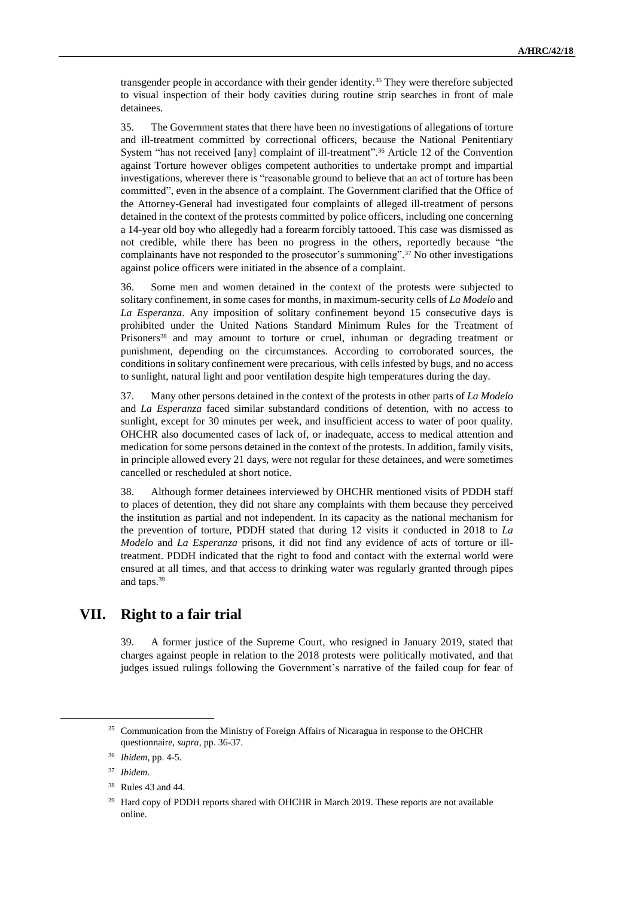transgender people in accordance with their gender identity.<sup>35</sup> They were therefore subjected to visual inspection of their body cavities during routine strip searches in front of male detainees.

35. The Government states that there have been no investigations of allegations of torture and ill-treatment committed by correctional officers, because the National Penitentiary System "has not received [any] complaint of ill-treatment".<sup>36</sup> Article 12 of the Convention against Torture however obliges competent authorities to undertake prompt and impartial investigations, wherever there is "reasonable ground to believe that an act of torture has been committed", even in the absence of a complaint. The Government clarified that the Office of the Attorney-General had investigated four complaints of alleged ill-treatment of persons detained in the context of the protests committed by police officers, including one concerning a 14-year old boy who allegedly had a forearm forcibly tattooed. This case was dismissed as not credible, while there has been no progress in the others, reportedly because "the complainants have not responded to the prosecutor's summoning".<sup>37</sup> No other investigations against police officers were initiated in the absence of a complaint.

36. Some men and women detained in the context of the protests were subjected to solitary confinement, in some cases for months, in maximum-security cells of *La Modelo* and *La Esperanza*. Any imposition of solitary confinement beyond 15 consecutive days is prohibited under the United Nations Standard Minimum Rules for the Treatment of Prisoners<sup>38</sup> and may amount to torture or cruel, inhuman or degrading treatment or punishment, depending on the circumstances. According to corroborated sources, the conditions in solitary confinement were precarious, with cells infested by bugs, and no access to sunlight, natural light and poor ventilation despite high temperatures during the day.

37. Many other persons detained in the context of the protests in other parts of *La Modelo* and *La Esperanza* faced similar substandard conditions of detention, with no access to sunlight, except for 30 minutes per week, and insufficient access to water of poor quality. OHCHR also documented cases of lack of, or inadequate, access to medical attention and medication for some persons detained in the context of the protests. In addition, family visits, in principle allowed every 21 days, were not regular for these detainees, and were sometimes cancelled or rescheduled at short notice.

38. Although former detainees interviewed by OHCHR mentioned visits of PDDH staff to places of detention, they did not share any complaints with them because they perceived the institution as partial and not independent. In its capacity as the national mechanism for the prevention of torture, PDDH stated that during 12 visits it conducted in 2018 to *La Modelo* and *La Esperanza* prisons, it did not find any evidence of acts of torture or illtreatment. PDDH indicated that the right to food and contact with the external world were ensured at all times, and that access to drinking water was regularly granted through pipes and taps.<sup>39</sup>

# **VII. Right to a fair trial**

39. A former justice of the Supreme Court, who resigned in January 2019, stated that charges against people in relation to the 2018 protests were politically motivated, and that judges issued rulings following the Government's narrative of the failed coup for fear of

<sup>35</sup> Communication from the Ministry of Foreign Affairs of Nicaragua in response to the OHCHR questionnaire, *supra*, pp. 36-37.

<sup>36</sup> *Ibidem*, pp. 4-5.

<sup>37</sup> *Ibidem*.

<sup>38</sup> Rules 43 and 44.

<sup>&</sup>lt;sup>39</sup> Hard copy of PDDH reports shared with OHCHR in March 2019. These reports are not available online.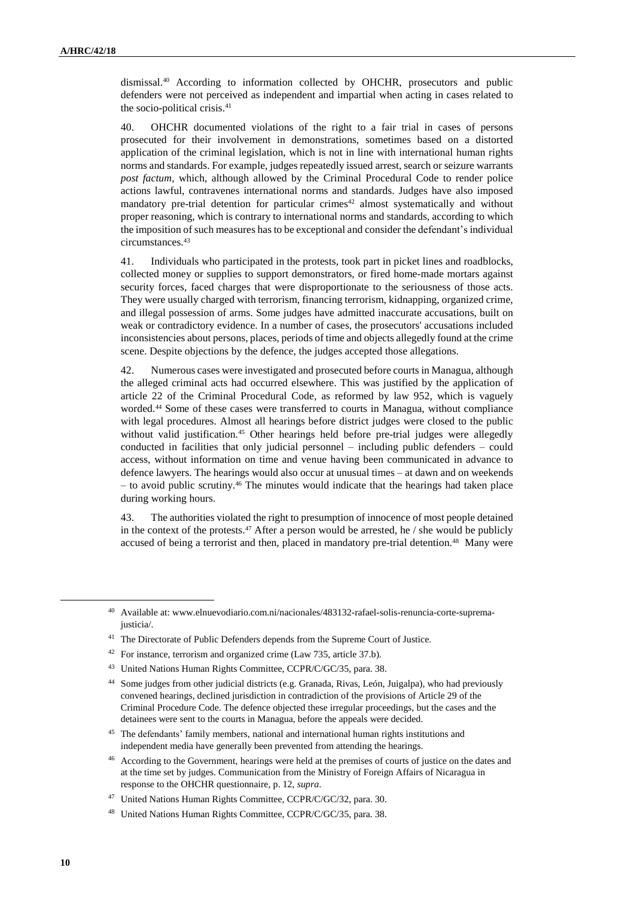dismissal.<sup>40</sup> According to information collected by OHCHR, prosecutors and public defenders were not perceived as independent and impartial when acting in cases related to the socio-political crisis.<sup>41</sup>

40. OHCHR documented violations of the right to a fair trial in cases of persons prosecuted for their involvement in demonstrations, sometimes based on a distorted application of the criminal legislation, which is not in line with international human rights norms and standards. For example, judges repeatedly issued arrest, search or seizure warrants *post factum*, which, although allowed by the Criminal Procedural Code to render police actions lawful, contravenes international norms and standards. Judges have also imposed mandatory pre-trial detention for particular crimes<sup>42</sup> almost systematically and without proper reasoning, which is contrary to international norms and standards, according to which the imposition of such measures has to be exceptional and consider the defendant's individual circumstances.<sup>43</sup>

41. Individuals who participated in the protests, took part in picket lines and roadblocks, collected money or supplies to support demonstrators, or fired home-made mortars against security forces, faced charges that were disproportionate to the seriousness of those acts. They were usually charged with terrorism, financing terrorism, kidnapping, organized crime, and illegal possession of arms. Some judges have admitted inaccurate accusations, built on weak or contradictory evidence. In a number of cases, the prosecutors' accusations included inconsistencies about persons, places, periods of time and objects allegedly found at the crime scene. Despite objections by the defence, the judges accepted those allegations.

42. Numerous cases were investigated and prosecuted before courtsin Managua, although the alleged criminal acts had occurred elsewhere. This was justified by the application of article 22 of the Criminal Procedural Code, as reformed by law 952, which is vaguely worded.<sup>44</sup> Some of these cases were transferred to courts in Managua, without compliance with legal procedures. Almost all hearings before district judges were closed to the public without valid justification.<sup>45</sup> Other hearings held before pre-trial judges were allegedly conducted in facilities that only judicial personnel – including public defenders – could access, without information on time and venue having been communicated in advance to defence lawyers. The hearings would also occur at unusual times – at dawn and on weekends – to avoid public scrutiny.<sup>46</sup> The minutes would indicate that the hearings had taken place during working hours.

43. The authorities violated the right to presumption of innocence of most people detained in the context of the protests.<sup>47</sup> After a person would be arrested, he  $/$  she would be publicly accused of being a terrorist and then, placed in mandatory pre-trial detention.<sup>48</sup> Many were

<sup>42</sup> For instance, terrorism and organized crime (Law 735, article 37.b).

<sup>40</sup> Available at: [www.elnuevodiario.com.ni/nacionales/483132-rafael-solis-renuncia-corte-suprema](http://www.elnuevodiario.com.ni/nacionales/483132-rafael-solis-renuncia-corte-suprema-justicia)[justicia/.](http://www.elnuevodiario.com.ni/nacionales/483132-rafael-solis-renuncia-corte-suprema-justicia)

<sup>&</sup>lt;sup>41</sup> The Directorate of Public Defenders depends from the Supreme Court of Justice.

<sup>43</sup> United Nations Human Rights Committee, CCPR/C/GC/35, para. 38.

<sup>44</sup> Some judges from other judicial districts (e.g. Granada, Rivas, León, Juigalpa), who had previously convened hearings, declined jurisdiction in contradiction of the provisions of Article 29 of the Criminal Procedure Code. The defence objected these irregular proceedings, but the cases and the detainees were sent to the courts in Managua, before the appeals were decided.

<sup>&</sup>lt;sup>45</sup> The defendants' family members, national and international human rights institutions and independent media have generally been prevented from attending the hearings.

<sup>&</sup>lt;sup>46</sup> According to the Government, hearings were held at the premises of courts of justice on the dates and at the time set by judges. Communication from the Ministry of Foreign Affairs of Nicaragua in response to the OHCHR questionnaire, p. 12, *supra*.

<sup>47</sup> United Nations Human Rights Committee, CCPR/C/GC/32, para. 30.

<sup>48</sup> United Nations Human Rights Committee, CCPR/C/GC/35, para. 38.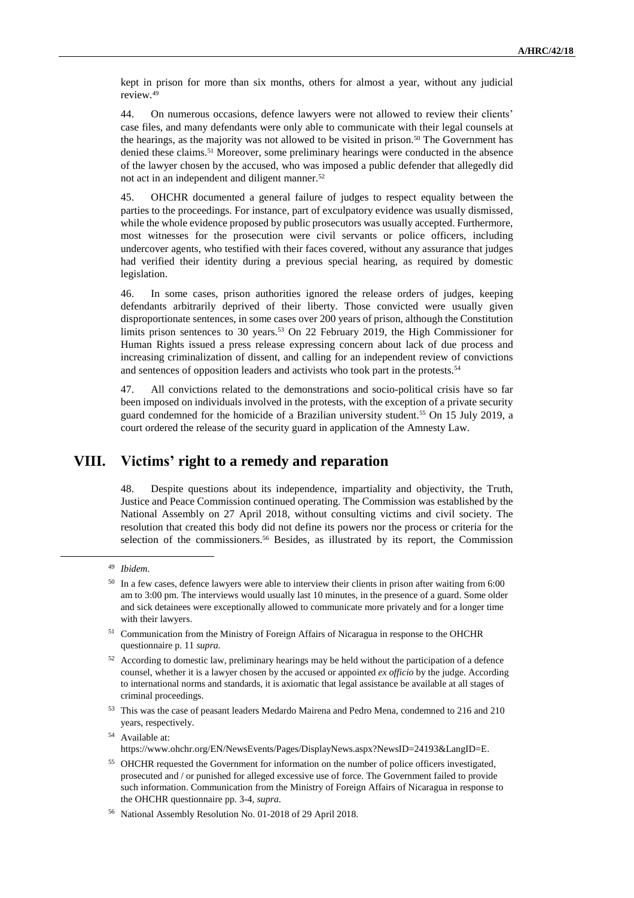kept in prison for more than six months, others for almost a year, without any judicial review.<sup>49</sup>

44. On numerous occasions, defence lawyers were not allowed to review their clients' case files, and many defendants were only able to communicate with their legal counsels at the hearings, as the majority was not allowed to be visited in prison.<sup>50</sup> The Government has denied these claims.<sup>51</sup> Moreover, some preliminary hearings were conducted in the absence of the lawyer chosen by the accused, who was imposed a public defender that allegedly did not act in an independent and diligent manner.<sup>52</sup>

45. OHCHR documented a general failure of judges to respect equality between the parties to the proceedings. For instance, part of exculpatory evidence was usually dismissed, while the whole evidence proposed by public prosecutors was usually accepted. Furthermore, most witnesses for the prosecution were civil servants or police officers, including undercover agents, who testified with their faces covered, without any assurance that judges had verified their identity during a previous special hearing, as required by domestic legislation.

46. In some cases, prison authorities ignored the release orders of judges, keeping defendants arbitrarily deprived of their liberty. Those convicted were usually given disproportionate sentences, in some cases over 200 years of prison, although the Constitution limits prison sentences to 30 years.<sup>53</sup> On 22 February 2019, the High Commissioner for Human Rights issued a press release expressing concern about lack of due process and increasing criminalization of dissent, and calling for an independent review of convictions and sentences of opposition leaders and activists who took part in the protests.<sup>54</sup>

47. All convictions related to the demonstrations and socio-political crisis have so far been imposed on individuals involved in the protests, with the exception of a private security guard condemned for the homicide of a Brazilian university student.<sup>55</sup> On 15 July 2019, a court ordered the release of the security guard in application of the Amnesty Law.

#### **VIII. Victims' right to a remedy and reparation**

48. Despite questions about its independence, impartiality and objectivity, the Truth, Justice and Peace Commission continued operating. The Commission was established by the National Assembly on 27 April 2018, without consulting victims and civil society. The resolution that created this body did not define its powers nor the process or criteria for the selection of the commissioners.<sup>56</sup> Besides, as illustrated by its report, the Commission

- <sup>51</sup> Communication from the Ministry of Foreign Affairs of Nicaragua in response to the OHCHR questionnaire p. 11 *supra.*
- <sup>52</sup> According to domestic law, preliminary hearings may be held without the participation of a defence counsel, whether it is a lawyer chosen by the accused or appointed *ex officio* by the judge. According to international norms and standards, it is axiomatic that legal assistance be available at all stages of criminal proceedings.
- <sup>53</sup> This was the case of peasant leaders Medardo Mairena and Pedro Mena, condemned to 216 and 210 years, respectively.

<sup>49</sup> *Ibidem*.

<sup>&</sup>lt;sup>50</sup> In a few cases, defence lawyers were able to interview their clients in prison after waiting from 6:00 am to 3:00 pm. The interviews would usually last 10 minutes, in the presence of a guard. Some older and sick detainees were exceptionally allowed to communicate more privately and for a longer time with their lawyers.

<sup>54</sup> Available at: https://www.ohchr.org/EN/NewsEvents/Pages/DisplayNews.aspx?NewsID=24193&LangID=E.

<sup>55</sup> OHCHR requested the Government for information on the number of police officers investigated, prosecuted and / or punished for alleged excessive use of force. The Government failed to provide such information. Communication from the Ministry of Foreign Affairs of Nicaragua in response to the OHCHR questionnaire pp. 3-4, *supra.*

<sup>56</sup> National Assembly Resolution No. 01-2018 of 29 April 2018.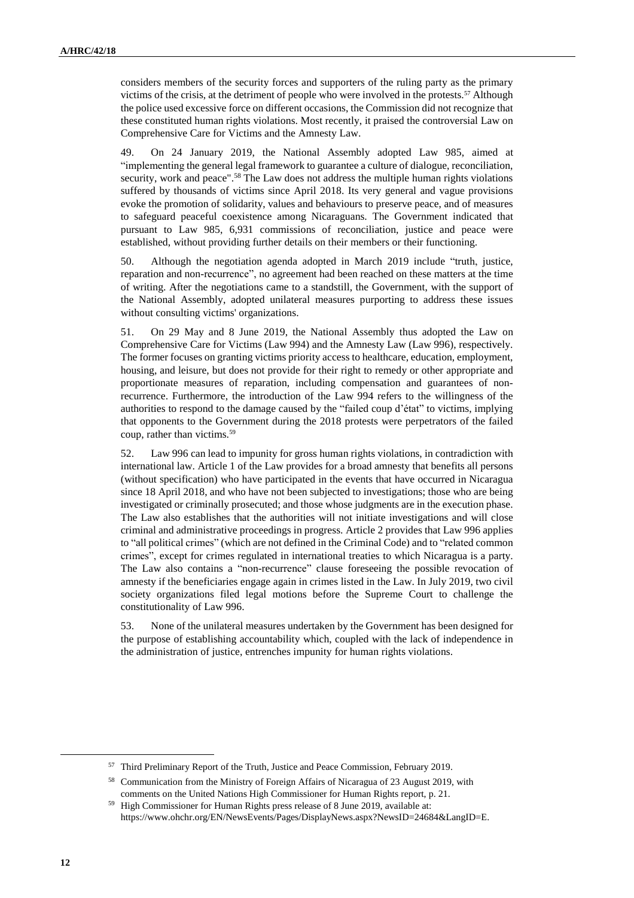considers members of the security forces and supporters of the ruling party as the primary victims of the crisis, at the detriment of people who were involved in the protests.<sup>57</sup> Although the police used excessive force on different occasions, the Commission did not recognize that these constituted human rights violations. Most recently, it praised the controversial Law on Comprehensive Care for Victims and the Amnesty Law.

49. On 24 January 2019, the National Assembly adopted Law 985, aimed at "implementing the general legal framework to guarantee a culture of dialogue, reconciliation, security, work and peace".<sup>58</sup> The Law does not address the multiple human rights violations suffered by thousands of victims since April 2018. Its very general and vague provisions evoke the promotion of solidarity, values and behaviours to preserve peace, and of measures to safeguard peaceful coexistence among Nicaraguans. The Government indicated that pursuant to Law 985, 6,931 commissions of reconciliation, justice and peace were established, without providing further details on their members or their functioning.

50. Although the negotiation agenda adopted in March 2019 include "truth, justice, reparation and non-recurrence", no agreement had been reached on these matters at the time of writing. After the negotiations came to a standstill, the Government, with the support of the National Assembly, adopted unilateral measures purporting to address these issues without consulting victims' organizations.

51. On 29 May and 8 June 2019, the National Assembly thus adopted the Law on Comprehensive Care for Victims (Law 994) and the Amnesty Law (Law 996), respectively. The former focuses on granting victims priority access to healthcare, education, employment, housing, and leisure, but does not provide for their right to remedy or other appropriate and proportionate measures of reparation, including compensation and guarantees of nonrecurrence. Furthermore, the introduction of the Law 994 refers to the willingness of the authorities to respond to the damage caused by the "failed coup d'état" to victims, implying that opponents to the Government during the 2018 protests were perpetrators of the failed coup, rather than victims.<sup>59</sup>

52. Law 996 can lead to impunity for gross human rights violations, in contradiction with international law. Article 1 of the Law provides for a broad amnesty that benefits all persons (without specification) who have participated in the events that have occurred in Nicaragua since 18 April 2018, and who have not been subjected to investigations; those who are being investigated or criminally prosecuted; and those whose judgments are in the execution phase. The Law also establishes that the authorities will not initiate investigations and will close criminal and administrative proceedings in progress. Article 2 provides that Law 996 applies to "all political crimes" (which are not defined in the Criminal Code) and to "related common crimes", except for crimes regulated in international treaties to which Nicaragua is a party. The Law also contains a "non-recurrence" clause foreseeing the possible revocation of amnesty if the beneficiaries engage again in crimes listed in the Law. In July 2019, two civil society organizations filed legal motions before the Supreme Court to challenge the constitutionality of Law 996.

53. None of the unilateral measures undertaken by the Government has been designed for the purpose of establishing accountability which, coupled with the lack of independence in the administration of justice, entrenches impunity for human rights violations.

<sup>57</sup> Third Preliminary Report of the Truth, Justice and Peace Commission, February 2019.

<sup>58</sup> Communication from the Ministry of Foreign Affairs of Nicaragua of 23 August 2019, with comments on the United Nations High Commissioner for Human Rights report, p. 21.

<sup>59</sup> High Commissioner for Human Rights press release of 8 June 2019, available at: https://www.ohchr.org/EN/NewsEvents/Pages/DisplayNews.aspx?NewsID=24684&LangID=E.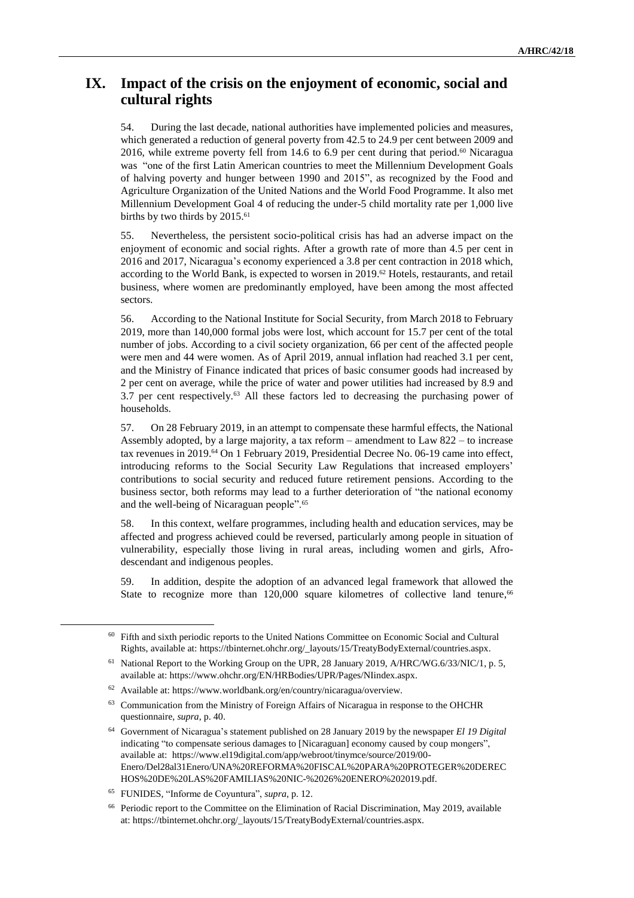# **IX. Impact of the crisis on the enjoyment of economic, social and cultural rights**

54. During the last decade, national authorities have implemented policies and measures, which generated a reduction of general poverty from 42.5 to 24.9 per cent between 2009 and 2016, while extreme poverty fell from 14.6 to 6.9 per cent during that period.<sup>60</sup> Nicaragua was "one of the first Latin American countries to meet the Millennium Development Goals of halving poverty and hunger between 1990 and 2015", as recognized by the Food and Agriculture Organization of the United Nations and the World Food Programme. It also met Millennium Development Goal 4 of reducing the under-5 child mortality rate per 1,000 live births by two thirds by 2015.<sup>61</sup>

55. Nevertheless, the persistent socio-political crisis has had an adverse impact on the enjoyment of economic and social rights. After a growth rate of more than 4.5 per cent in 2016 and 2017, Nicaragua's economy experienced a 3.8 per cent contraction in 2018 which, according to the World Bank, is expected to worsen in 2019.<sup>62</sup> Hotels, restaurants, and retail business, where women are predominantly employed, have been among the most affected sectors.

56. According to the National Institute for Social Security, from March 2018 to February 2019, more than 140,000 formal jobs were lost, which account for 15.7 per cent of the total number of jobs. According to a civil society organization, 66 per cent of the affected people were men and 44 were women. As of April 2019, annual inflation had reached 3.1 per cent, and the Ministry of Finance indicated that prices of basic consumer goods had increased by 2 per cent on average, while the price of water and power utilities had increased by 8.9 and 3.7 per cent respectively. $63$  All these factors led to decreasing the purchasing power of households.

57. On 28 February 2019, in an attempt to compensate these harmful effects, the National Assembly adopted, by a large majority, a tax reform – amendment to Law 822 – to increase tax revenues in 2019.<sup>64</sup> On 1 February 2019, Presidential Decree No. 06-19 came into effect, introducing reforms to the Social Security Law Regulations that increased employers' contributions to social security and reduced future retirement pensions. According to the business sector, both reforms may lead to a further deterioration of "the national economy and the well-being of Nicaraguan people".<sup>65</sup>

58. In this context, welfare programmes, including health and education services, may be affected and progress achieved could be reversed, particularly among people in situation of vulnerability, especially those living in rural areas, including women and girls, Afrodescendant and indigenous peoples.

59. In addition, despite the adoption of an advanced legal framework that allowed the State to recognize more than  $120,000$  square kilometres of collective land tenure,<sup>66</sup>

<sup>60</sup> Fifth and sixth periodic reports to the United Nations Committee on Economic Social and Cultural Rights, available at: https://tbinternet.ohchr.org/\_layouts/15/TreatyBodyExternal/countries.aspx.

<sup>61</sup> National Report to the Working Group on the UPR, 28 January 2019, A/HRC/WG.6/33/NIC/1, p. 5, available at: https://www.ohchr.org/EN/HRBodies/UPR/Pages/NIindex.aspx.

<sup>62</sup> Available at: https://www.worldbank.org/en/country/nicaragua/overview.

<sup>63</sup> Communication from the Ministry of Foreign Affairs of Nicaragua in response to the OHCHR questionnaire, *supra*, p. 40.

<sup>64</sup> Government of Nicaragua's statement published on 28 January 2019 by the newspaper *El 19 Digital* indicating "to compensate serious damages to [Nicaraguan] economy caused by coup mongers", available at: https://www.el19digital.com/app/webroot/tinymce/source/2019/00- Enero/Del28al31Enero/UNA%20REFORMA%20FISCAL%20PARA%20PROTEGER%20DEREC HOS%20DE%20LAS%20FAMILIAS%20NIC-%2026%20ENERO%202019.pdf.

<sup>65</sup> FUNIDES, "Informe de Coyuntura", *supra*, p. 12.

<sup>66</sup> Periodic report to the Committee on the Elimination of Racial Discrimination, May 2019, available at: https://tbinternet.ohchr.org/\_layouts/15/TreatyBodyExternal/countries.aspx.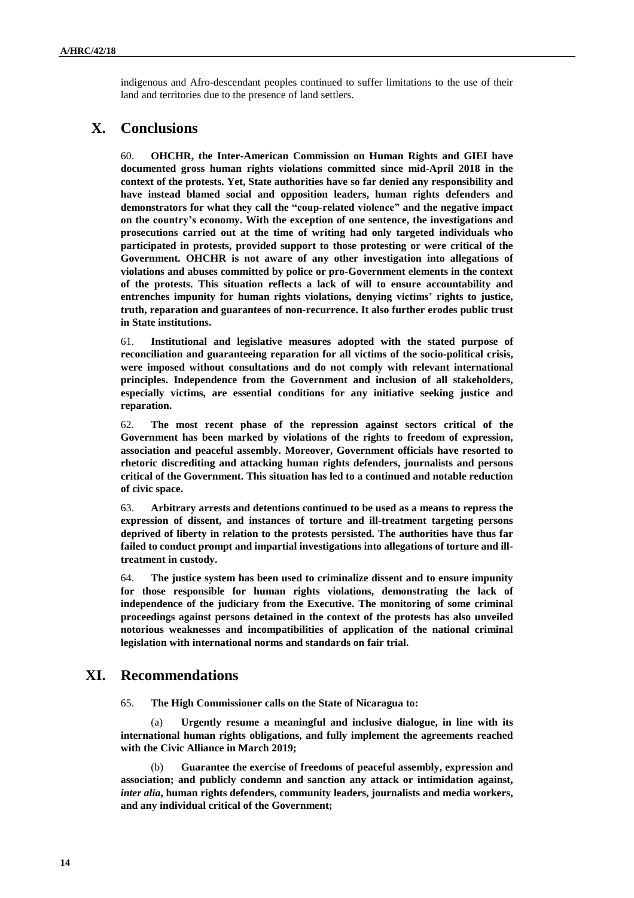indigenous and Afro-descendant peoples continued to suffer limitations to the use of their land and territories due to the presence of land settlers.

# **X. Conclusions**

60. **OHCHR, the Inter-American Commission on Human Rights and GIEI have documented gross human rights violations committed since mid-April 2018 in the context of the protests. Yet, State authorities have so far denied any responsibility and have instead blamed social and opposition leaders, human rights defenders and demonstrators for what they call the "coup-related violence" and the negative impact on the country's economy. With the exception of one sentence, the investigations and prosecutions carried out at the time of writing had only targeted individuals who participated in protests, provided support to those protesting or were critical of the Government. OHCHR is not aware of any other investigation into allegations of violations and abuses committed by police or pro-Government elements in the context of the protests. This situation reflects a lack of will to ensure accountability and entrenches impunity for human rights violations, denying victims' rights to justice, truth, reparation and guarantees of non-recurrence. It also further erodes public trust in State institutions.**

61. **Institutional and legislative measures adopted with the stated purpose of reconciliation and guaranteeing reparation for all victims of the socio-political crisis, were imposed without consultations and do not comply with relevant international principles. Independence from the Government and inclusion of all stakeholders, especially victims, are essential conditions for any initiative seeking justice and reparation.**

62. **The most recent phase of the repression against sectors critical of the Government has been marked by violations of the rights to freedom of expression, association and peaceful assembly. Moreover, Government officials have resorted to rhetoric discrediting and attacking human rights defenders, journalists and persons critical of the Government. This situation has led to a continued and notable reduction of civic space.**

63. **Arbitrary arrests and detentions continued to be used as a means to repress the expression of dissent, and instances of torture and ill-treatment targeting persons deprived of liberty in relation to the protests persisted. The authorities have thus far failed to conduct prompt and impartial investigations into allegations of torture and illtreatment in custody.**

64. **The justice system has been used to criminalize dissent and to ensure impunity for those responsible for human rights violations, demonstrating the lack of independence of the judiciary from the Executive. The monitoring of some criminal proceedings against persons detained in the context of the protests has also unveiled notorious weaknesses and incompatibilities of application of the national criminal legislation with international norms and standards on fair trial.**

#### **XI. Recommendations**

65. **The High Commissioner calls on the State of Nicaragua to:**

(a) **Urgently resume a meaningful and inclusive dialogue, in line with its international human rights obligations, and fully implement the agreements reached with the Civic Alliance in March 2019;**

(b) **Guarantee the exercise of freedoms of peaceful assembly, expression and association; and publicly condemn and sanction any attack or intimidation against,** *inter alia***, human rights defenders, community leaders, journalists and media workers, and any individual critical of the Government;**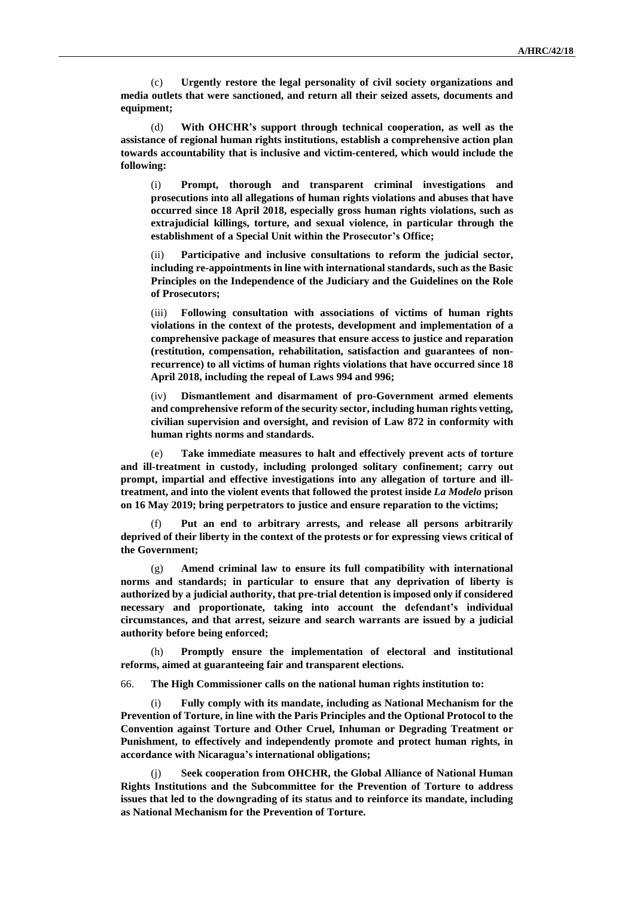(c) **Urgently restore the legal personality of civil society organizations and media outlets that were sanctioned, and return all their seized assets, documents and equipment;**

(d) **With OHCHR's support through technical cooperation, as well as the assistance of regional human rights institutions, establish a comprehensive action plan towards accountability that is inclusive and victim-centered, which would include the following:**

(i) **Prompt, thorough and transparent criminal investigations and prosecutions into all allegations of human rights violations and abuses that have occurred since 18 April 2018, especially gross human rights violations, such as extrajudicial killings, torture, and sexual violence, in particular through the establishment of a Special Unit within the Prosecutor's Office;**

(ii) **Participative and inclusive consultations to reform the judicial sector, including re-appointments in line with international standards, such as the Basic Principles on the Independence of the Judiciary and the Guidelines on the Role of Prosecutors;**

(iii) **Following consultation with associations of victims of human rights violations in the context of the protests, development and implementation of a comprehensive package of measures that ensure access to justice and reparation (restitution, compensation, rehabilitation, satisfaction and guarantees of nonrecurrence) to all victims of human rights violations that have occurred since 18 April 2018, including the repeal of Laws 994 and 996;**

(iv) **Dismantlement and disarmament of pro-Government armed elements and comprehensive reform of the security sector, including human rights vetting, civilian supervision and oversight, and revision of Law 872 in conformity with human rights norms and standards.**

(e) **Take immediate measures to halt and effectively prevent acts of torture and ill-treatment in custody, including prolonged solitary confinement; carry out prompt, impartial and effective investigations into any allegation of torture and illtreatment, and into the violent events that followed the protest inside** *La Modelo* **prison on 16 May 2019; bring perpetrators to justice and ensure reparation to the victims;**

(f) **Put an end to arbitrary arrests, and release all persons arbitrarily deprived of their liberty in the context of the protests or for expressing views critical of the Government;**

(g) **Amend criminal law to ensure its full compatibility with international norms and standards; in particular to ensure that any deprivation of liberty is authorized by a judicial authority, that pre-trial detention is imposed only if considered necessary and proportionate, taking into account the defendant's individual circumstances, and that arrest, seizure and search warrants are issued by a judicial authority before being enforced;**

(h) **Promptly ensure the implementation of electoral and institutional reforms, aimed at guaranteeing fair and transparent elections.**

66. **The High Commissioner calls on the national human rights institution to:**

(i) **Fully comply with its mandate, including as National Mechanism for the Prevention of Torture, in line with the Paris Principles and the Optional Protocol to the Convention against Torture and Other Cruel, Inhuman or Degrading Treatment or Punishment, to effectively and independently promote and protect human rights, in accordance with Nicaragua's international obligations;**

(j) **Seek cooperation from OHCHR, the Global Alliance of National Human Rights Institutions and the Subcommittee for the Prevention of Torture to address issues that led to the downgrading of its status and to reinforce its mandate, including as National Mechanism for the Prevention of Torture.**